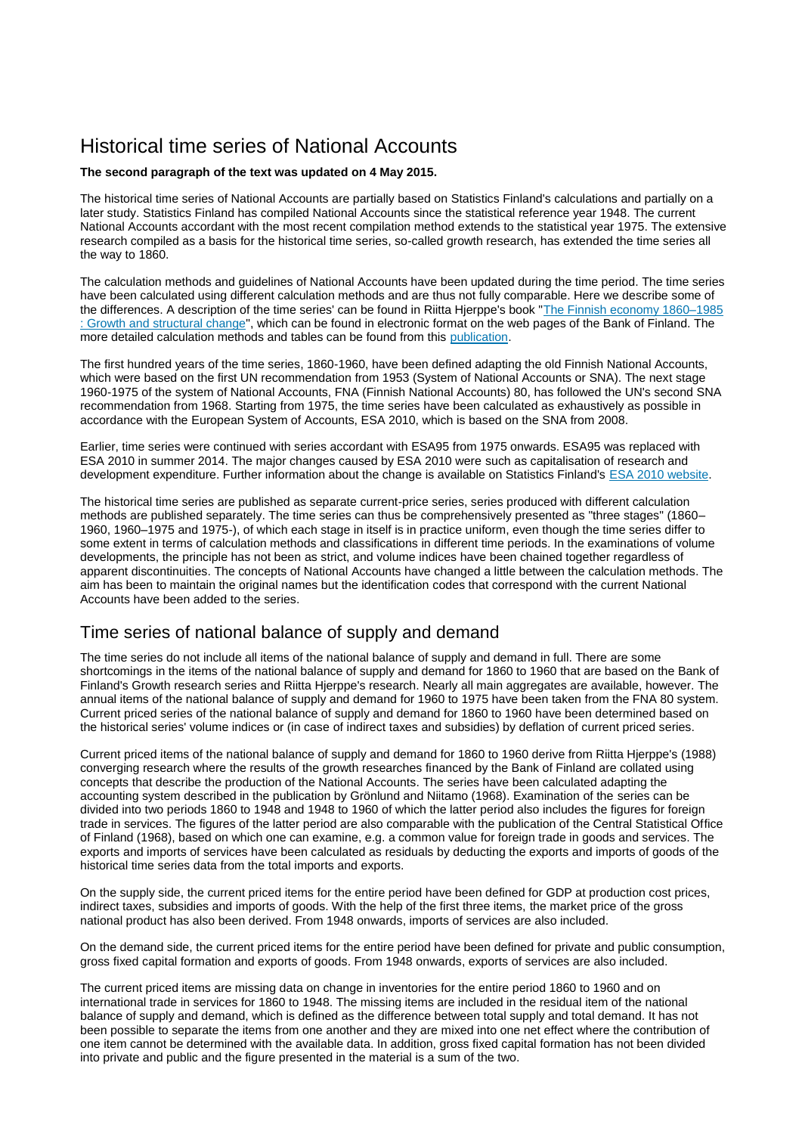# Historical time series of National Accounts

### **The second paragraph of the text was updated on 4 May 2015.**

The historical time series of National Accounts are partially based on Statistics Finland's calculations and partially on a later study. Statistics Finland has compiled National Accounts since the statistical reference year 1948. The current National Accounts accordant with the most recent compilation method extends to the statistical year 1975. The extensive research compiled as a basis for the historical time series, so-called growth research, has extended the time series all the way to 1860.

The calculation methods and guidelines of National Accounts have been updated during the time period. The time series have been calculated using different calculation methods and are thus not fully comparable. Here we describe some of the differences. A description of the time series' can be found in Riitta Hjerppe's book "The Finnish [economy 1860–1985](https://helda.helsinki.fi/bof/handle/123456789/14338)  [: Growth and structural change"](https://helda.helsinki.fi/bof/handle/123456789/14338), which can be found in electronic format on the web pages of the Bank of Finland. The more detailed calculation methods and tables can be found from this [publication.](https://www.stat.fi/til/vtp/vtp_2015-05-04_men_001_en.pdf)

The first hundred years of the time series, 1860-1960, have been defined adapting the old Finnish National Accounts, which were based on the first UN recommendation from 1953 (System of National Accounts or SNA). The next stage 1960-1975 of the system of National Accounts, FNA (Finnish National Accounts) 80, has followed the UN's second SNA recommendation from 1968. Starting from 1975, the time series have been calculated as exhaustively as possible in accordance with the European System of Accounts, ESA 2010, which is based on the SNA from 2008.

Earlier, time series were continued with series accordant with ESA95 from 1975 onwards. ESA95 was replaced with ESA 2010 in summer 2014. The major changes caused by ESA 2010 were such as capitalisation of research and development expenditure. Further information about the change is available on Statistics Finland's [ESA 2010 website.](http://tilastokeskus.fi/til/vtp/vtp_2014-07-11_uut_001_en.html)

The historical time series are published as separate current-price series, series produced with different calculation methods are published separately. The time series can thus be comprehensively presented as "three stages" (1860– 1960, 1960–1975 and 1975-), of which each stage in itself is in practice uniform, even though the time series differ to some extent in terms of calculation methods and classifications in different time periods. In the examinations of volume developments, the principle has not been as strict, and volume indices have been chained together regardless of apparent discontinuities. The concepts of National Accounts have changed a little between the calculation methods. The aim has been to maintain the original names but the identification codes that correspond with the current National Accounts have been added to the series.

## Time series of national balance of supply and demand

The time series do not include all items of the national balance of supply and demand in full. There are some shortcomings in the items of the national balance of supply and demand for 1860 to 1960 that are based on the Bank of Finland's Growth research series and Riitta Hjerppe's research. Nearly all main aggregates are available, however. The annual items of the national balance of supply and demand for 1960 to 1975 have been taken from the FNA 80 system. Current priced series of the national balance of supply and demand for 1860 to 1960 have been determined based on the historical series' volume indices or (in case of indirect taxes and subsidies) by deflation of current priced series.

Current priced items of the national balance of supply and demand for 1860 to 1960 derive from Riitta Hjerppe's (1988) converging research where the results of the growth researches financed by the Bank of Finland are collated using concepts that describe the production of the National Accounts. The series have been calculated adapting the accounting system described in the publication by Grönlund and Niitamo (1968). Examination of the series can be divided into two periods 1860 to 1948 and 1948 to 1960 of which the latter period also includes the figures for foreign trade in services. The figures of the latter period are also comparable with the publication of the Central Statistical Office of Finland (1968), based on which one can examine, e.g. a common value for foreign trade in goods and services. The exports and imports of services have been calculated as residuals by deducting the exports and imports of goods of the historical time series data from the total imports and exports.

On the supply side, the current priced items for the entire period have been defined for GDP at production cost prices, indirect taxes, subsidies and imports of goods. With the help of the first three items, the market price of the gross national product has also been derived. From 1948 onwards, imports of services are also included.

On the demand side, the current priced items for the entire period have been defined for private and public consumption, gross fixed capital formation and exports of goods. From 1948 onwards, exports of services are also included.

The current priced items are missing data on change in inventories for the entire period 1860 to 1960 and on international trade in services for 1860 to 1948. The missing items are included in the residual item of the national balance of supply and demand, which is defined as the difference between total supply and total demand. It has not been possible to separate the items from one another and they are mixed into one net effect where the contribution of one item cannot be determined with the available data. In addition, gross fixed capital formation has not been divided into private and public and the figure presented in the material is a sum of the two.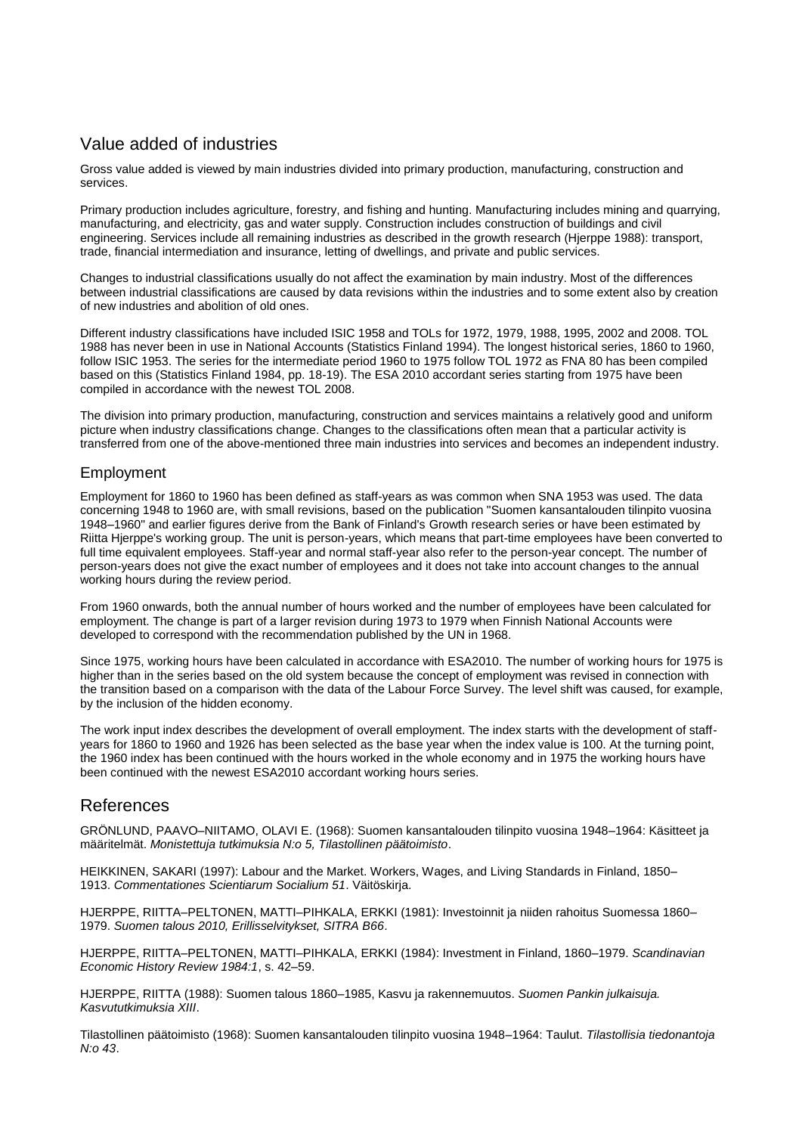# Value added of industries

Gross value added is viewed by main industries divided into primary production, manufacturing, construction and services.

Primary production includes agriculture, forestry, and fishing and hunting. Manufacturing includes mining and quarrying, manufacturing, and electricity, gas and water supply. Construction includes construction of buildings and civil engineering. Services include all remaining industries as described in the growth research (Hjerppe 1988): transport, trade, financial intermediation and insurance, letting of dwellings, and private and public services.

Changes to industrial classifications usually do not affect the examination by main industry. Most of the differences between industrial classifications are caused by data revisions within the industries and to some extent also by creation of new industries and abolition of old ones.

Different industry classifications have included ISIC 1958 and TOLs for 1972, 1979, 1988, 1995, 2002 and 2008. TOL 1988 has never been in use in National Accounts (Statistics Finland 1994). The longest historical series, 1860 to 1960, follow ISIC 1953. The series for the intermediate period 1960 to 1975 follow TOL 1972 as FNA 80 has been compiled based on this (Statistics Finland 1984, pp. 18-19). The ESA 2010 accordant series starting from 1975 have been compiled in accordance with the newest TOL 2008.

The division into primary production, manufacturing, construction and services maintains a relatively good and uniform picture when industry classifications change. Changes to the classifications often mean that a particular activity is transferred from one of the above-mentioned three main industries into services and becomes an independent industry.

### Employment

Employment for 1860 to 1960 has been defined as staff-years as was common when SNA 1953 was used. The data concerning 1948 to 1960 are, with small revisions, based on the publication "Suomen kansantalouden tilinpito vuosina 1948–1960" and earlier figures derive from the Bank of Finland's Growth research series or have been estimated by Riitta Hjerppe's working group. The unit is person-years, which means that part-time employees have been converted to full time equivalent employees. Staff-year and normal staff-year also refer to the person-year concept. The number of person-years does not give the exact number of employees and it does not take into account changes to the annual working hours during the review period.

From 1960 onwards, both the annual number of hours worked and the number of employees have been calculated for employment. The change is part of a larger revision during 1973 to 1979 when Finnish National Accounts were developed to correspond with the recommendation published by the UN in 1968.

Since 1975, working hours have been calculated in accordance with ESA2010. The number of working hours for 1975 is higher than in the series based on the old system because the concept of employment was revised in connection with the transition based on a comparison with the data of the Labour Force Survey. The level shift was caused, for example, by the inclusion of the hidden economy.

The work input index describes the development of overall employment. The index starts with the development of staffyears for 1860 to 1960 and 1926 has been selected as the base year when the index value is 100. At the turning point, the 1960 index has been continued with the hours worked in the whole economy and in 1975 the working hours have been continued with the newest ESA2010 accordant working hours series.

## References

GRÖNLUND, PAAVO–NIITAMO, OLAVI E. (1968): Suomen kansantalouden tilinpito vuosina 1948–1964: Käsitteet ja määritelmät. *Monistettuja tutkimuksia N:o 5, Tilastollinen päätoimisto*.

HEIKKINEN, SAKARI (1997): Labour and the Market. Workers, Wages, and Living Standards in Finland, 1850– 1913. *Commentationes Scientiarum Socialium 51*. Väitöskirja.

HJERPPE, RIITTA–PELTONEN, MATTI–PIHKALA, ERKKI (1981): Investoinnit ja niiden rahoitus Suomessa 1860– 1979. *Suomen talous 2010, Erillisselvitykset, SITRA B66*.

HJERPPE, RIITTA–PELTONEN, MATTI–PIHKALA, ERKKI (1984): Investment in Finland, 1860–1979. *Scandinavian Economic History Review 1984:1*, s. 42–59.

HJERPPE, RIITTA (1988): Suomen talous 1860–1985, Kasvu ja rakennemuutos. *Suomen Pankin julkaisuja. Kasvututkimuksia XIII*.

Tilastollinen päätoimisto (1968): Suomen kansantalouden tilinpito vuosina 1948–1964: Taulut. *Tilastollisia tiedonantoja N:o 43*.